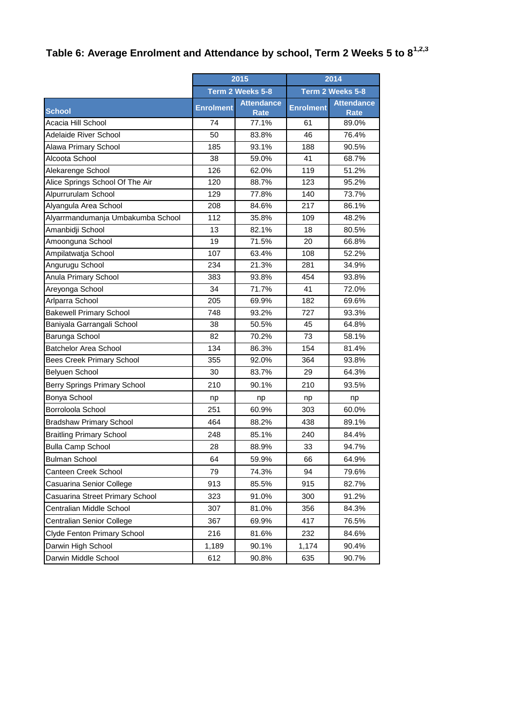## **Table 6: Average Enrolment and Attendance by school, Term 2 Weeks 5 to 81,2,3**

|                                   | 2015             |                                  | 2014             |                                  |
|-----------------------------------|------------------|----------------------------------|------------------|----------------------------------|
|                                   |                  | Term 2 Weeks 5-8                 |                  | Term 2 Weeks 5-8                 |
| <b>School</b>                     | <b>Enrolment</b> | <b>Attendance</b><br><b>Rate</b> | <b>Enrolment</b> | <b>Attendance</b><br><b>Rate</b> |
| Acacia Hill School                | 74               | 77.1%                            | 61               | 89.0%                            |
| <b>Adelaide River School</b>      | 50               | 83.8%                            | 46               | 76.4%                            |
| Alawa Primary School              | 185              | 93.1%                            | 188              | 90.5%                            |
| Alcoota School                    | 38               | 59.0%                            | 41               | 68.7%                            |
| Alekarenge School                 | 126              | 62.0%                            | 119              | 51.2%                            |
| Alice Springs School Of The Air   | 120              | 88.7%                            | 123              | 95.2%                            |
| Alpurrurulam School               | 129              | 77.8%                            | 140              | 73.7%                            |
| Alyangula Area School             | 208              | 84.6%                            | 217              | 86.1%                            |
| Alyarrmandumanja Umbakumba School | 112              | 35.8%                            | 109              | 48.2%                            |
| Amanbidji School                  | 13               | 82.1%                            | 18               | 80.5%                            |
| Amoonguna School                  | 19               | 71.5%                            | 20               | 66.8%                            |
| Ampilatwatja School               | 107              | 63.4%                            | 108              | 52.2%                            |
| Angurugu School                   | 234              | 21.3%                            | 281              | 34.9%                            |
| Anula Primary School              | 383              | 93.8%                            | 454              | 93.8%                            |
| Areyonga School                   | 34               | 71.7%                            | 41               | 72.0%                            |
| Arlparra School                   | 205              | 69.9%                            | 182              | 69.6%                            |
| <b>Bakewell Primary School</b>    | 748              | 93.2%                            | 727              | 93.3%                            |
| Baniyala Garrangali School        | 38               | 50.5%                            | 45               | 64.8%                            |
| Barunga School                    | 82               | 70.2%                            | 73               | 58.1%                            |
| <b>Batchelor Area School</b>      | 134              | 86.3%                            | 154              | 81.4%                            |
| <b>Bees Creek Primary School</b>  | 355              | 92.0%                            | 364              | 93.8%                            |
| <b>Belyuen School</b>             | 30               | 83.7%                            | 29               | 64.3%                            |
| Berry Springs Primary School      | 210              | 90.1%                            | 210              | 93.5%                            |
| Bonya School                      | np               | np                               | np               | np                               |
| Borroloola School                 | 251              | 60.9%                            | 303              | 60.0%                            |
| <b>Bradshaw Primary School</b>    | 464              | 88.2%                            | 438              | 89.1%                            |
| <b>Braitling Primary School</b>   | 248              | 85.1%                            | 240              | 84.4%                            |
| <b>Bulla Camp School</b>          | 28               | 88.9%                            | 33               | 94.7%                            |
| <b>Bulman School</b>              | 64               | 59.9%                            | 66               | 64.9%                            |
| Canteen Creek School              | 79               | 74.3%                            | 94               | 79.6%                            |
| Casuarina Senior College          | 913              | 85.5%                            | 915              | 82.7%                            |
| Casuarina Street Primary School   | 323              | 91.0%                            | 300              | 91.2%                            |
| Centralian Middle School          | 307              | 81.0%                            | 356              | 84.3%                            |
| Centralian Senior College         | 367              | 69.9%                            | 417              | 76.5%                            |
| Clyde Fenton Primary School       | 216              | 81.6%                            | 232              | 84.6%                            |
| Darwin High School                | 1,189            | 90.1%                            | 1,174            | 90.4%                            |
| Darwin Middle School              | 612              | 90.8%                            | 635              | 90.7%                            |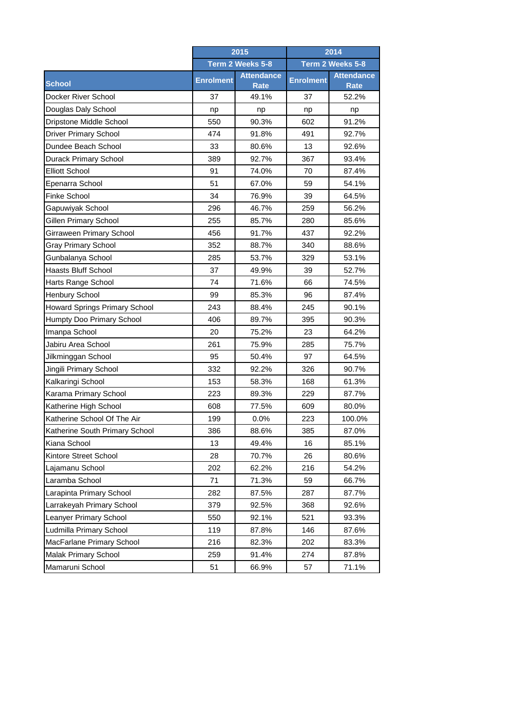|                                      | 2015             |                                  | 2014             |                                  |
|--------------------------------------|------------------|----------------------------------|------------------|----------------------------------|
|                                      |                  | Term 2 Weeks 5-8                 |                  | Term 2 Weeks 5-8                 |
| <b>School</b>                        | <b>Enrolment</b> | <b>Attendance</b><br><b>Rate</b> | <b>Enrolment</b> | <b>Attendance</b><br><b>Rate</b> |
| Docker River School                  | 37               | 49.1%                            | 37               | 52.2%                            |
| Douglas Daly School                  | np               | np                               | np               | np                               |
| Dripstone Middle School              | 550              | 90.3%                            | 602              | 91.2%                            |
| <b>Driver Primary School</b>         | 474              | 91.8%                            | 491              | 92.7%                            |
| Dundee Beach School                  | 33               | 80.6%                            | 13               | 92.6%                            |
| <b>Durack Primary School</b>         | 389              | 92.7%                            | 367              | 93.4%                            |
| <b>Elliott School</b>                | 91               | 74.0%                            | 70               | 87.4%                            |
| Epenarra School                      | 51               | 67.0%                            | 59               | 54.1%                            |
| Finke School                         | 34               | 76.9%                            | 39               | 64.5%                            |
| Gapuwiyak School                     | 296              | 46.7%                            | 259              | 56.2%                            |
| Gillen Primary School                | 255              | 85.7%                            | 280              | 85.6%                            |
| <b>Girraween Primary School</b>      | 456              | 91.7%                            | 437              | 92.2%                            |
| <b>Gray Primary School</b>           | 352              | 88.7%                            | 340              | 88.6%                            |
| Gunbalanya School                    | 285              | 53.7%                            | 329              | 53.1%                            |
| Haasts Bluff School                  | 37               | 49.9%                            | 39               | 52.7%                            |
| Harts Range School                   | 74               | 71.6%                            | 66               | 74.5%                            |
| <b>Henbury School</b>                | 99               | 85.3%                            | 96               | 87.4%                            |
| <b>Howard Springs Primary School</b> | 243              | 88.4%                            | 245              | 90.1%                            |
| Humpty Doo Primary School            | 406              | 89.7%                            | 395              | 90.3%                            |
| Imanpa School                        | 20               | 75.2%                            | 23               | 64.2%                            |
| Jabiru Area School                   | 261              | 75.9%                            | 285              | 75.7%                            |
| Jilkminggan School                   | 95               | 50.4%                            | 97               | 64.5%                            |
| Jingili Primary School               | 332              | 92.2%                            | 326              | 90.7%                            |
| Kalkaringi School                    | 153              | 58.3%                            | 168              | 61.3%                            |
| Karama Primary School                | 223              | 89.3%                            | 229              | 87.7%                            |
| Katherine High School                | 608              | 77.5%                            | 609              | 80.0%                            |
| Katherine School Of The Air          | 199              | 0.0%                             | 223              | 100.0%                           |
| Katherine South Primary School       | 386              | 88.6%                            | 385              | 87.0%                            |
| Kiana School                         | 13               | 49.4%                            | 16               | 85.1%                            |
| Kintore Street School                | 28               | 70.7%                            | 26               | 80.6%                            |
| Lajamanu School                      | 202              | 62.2%                            | 216              | 54.2%                            |
| Laramba School                       | 71               | 71.3%                            | 59               | 66.7%                            |
| Larapinta Primary School             | 282              | 87.5%                            | 287              | 87.7%                            |
| Larrakeyah Primary School            | 379              | 92.5%                            | 368              | 92.6%                            |
| Leanyer Primary School               | 550              | 92.1%                            | 521              | 93.3%                            |
| Ludmilla Primary School              | 119              | 87.8%                            | 146              | 87.6%                            |
| MacFarlane Primary School            | 216              | 82.3%                            | 202              | 83.3%                            |
| Malak Primary School                 | 259              | 91.4%                            | 274              | 87.8%                            |
| Mamaruni School                      | 51               | 66.9%                            | 57               | 71.1%                            |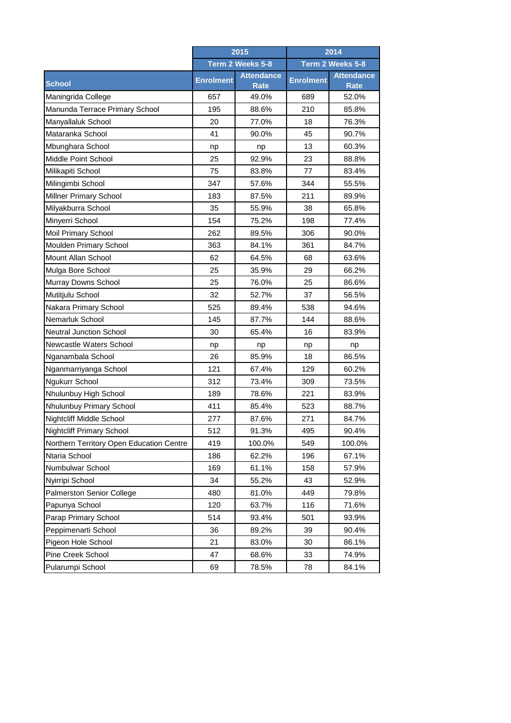|                                          | 2015             |                                  | 2014             |                                  |
|------------------------------------------|------------------|----------------------------------|------------------|----------------------------------|
|                                          |                  | Term 2 Weeks 5-8                 |                  | Term 2 Weeks 5-8                 |
| <b>School</b>                            | <b>Enrolment</b> | <b>Attendance</b><br><b>Rate</b> | <b>Enrolment</b> | <b>Attendance</b><br><b>Rate</b> |
| Maningrida College                       | 657              | 49.0%                            | 689              | 52.0%                            |
| Manunda Terrace Primary School           | 195              | 88.6%                            | 210              | 85.8%                            |
| Manyallaluk School                       | 20               | 77.0%                            | 18               | 76.3%                            |
| Mataranka School                         | 41               | 90.0%                            | 45               | 90.7%                            |
| Mbunghara School                         | np               | np                               | 13               | 60.3%                            |
| Middle Point School                      | 25               | 92.9%                            | 23               | 88.8%                            |
| Milikapiti School                        | 75               | 83.8%                            | 77               | 83.4%                            |
| Milingimbi School                        | 347              | 57.6%                            | 344              | 55.5%                            |
| Millner Primary School                   | 183              | 87.5%                            | 211              | 89.9%                            |
| Milyakburra School                       | 35               | 55.9%                            | 38               | 65.8%                            |
| Minyerri School                          | 154              | 75.2%                            | 198              | 77.4%                            |
| Moil Primary School                      | 262              | 89.5%                            | 306              | 90.0%                            |
| Moulden Primary School                   | 363              | 84.1%                            | 361              | 84.7%                            |
| Mount Allan School                       | 62               | 64.5%                            | 68               | 63.6%                            |
| Mulga Bore School                        | 25               | 35.9%                            | 29               | 66.2%                            |
| Murray Downs School                      | 25               | 76.0%                            | 25               | 86.6%                            |
| Mutitjulu School                         | 32               | 52.7%                            | 37               | 56.5%                            |
| Nakara Primary School                    | 525              | 89.4%                            | 538              | 94.6%                            |
| Nemarluk School                          | 145              | 87.7%                            | 144              | 88.6%                            |
| <b>Neutral Junction School</b>           | 30               | 65.4%                            | 16               | 83.9%                            |
| Newcastle Waters School                  | np               | np                               | np               | np                               |
| Nganambala School                        | 26               | 85.9%                            | 18               | 86.5%                            |
| Nganmarriyanga School                    | 121              | 67.4%                            | 129              | 60.2%                            |
| Ngukurr School                           | 312              | 73.4%                            | 309              | 73.5%                            |
| Nhulunbuy High School                    | 189              | 78.6%                            | 221              | 83.9%                            |
| Nhulunbuy Primary School                 | 411              | 85.4%                            | 523              | 88.7%                            |
| Nightcliff Middle School                 | 277              | 87.6%                            | 271              | 84.7%                            |
| Nightcliff Primary School                | 512              | 91.3%                            | 495              | 90.4%                            |
| Northern Territory Open Education Centre | 419              | 100.0%                           | 549              | 100.0%                           |
| Ntaria School                            | 186              | 62.2%                            | 196              | 67.1%                            |
| Numbulwar School                         | 169              | 61.1%                            | 158              | 57.9%                            |
| Nyirripi School                          | 34               | 55.2%                            | 43               | 52.9%                            |
| <b>Palmerston Senior College</b>         | 480              | 81.0%                            | 449              | 79.8%                            |
| Papunya School                           | 120              | 63.7%                            | 116              | 71.6%                            |
| Parap Primary School                     | 514              | 93.4%                            | 501              | 93.9%                            |
| Peppimenarti School                      | 36               | 89.2%                            | 39               | 90.4%                            |
| Pigeon Hole School                       | 21               | 83.0%                            | 30               | 86.1%                            |
| Pine Creek School                        | 47               | 68.6%                            | 33               | 74.9%                            |
| Pularumpi School                         | 69               | 78.5%                            | 78               | 84.1%                            |